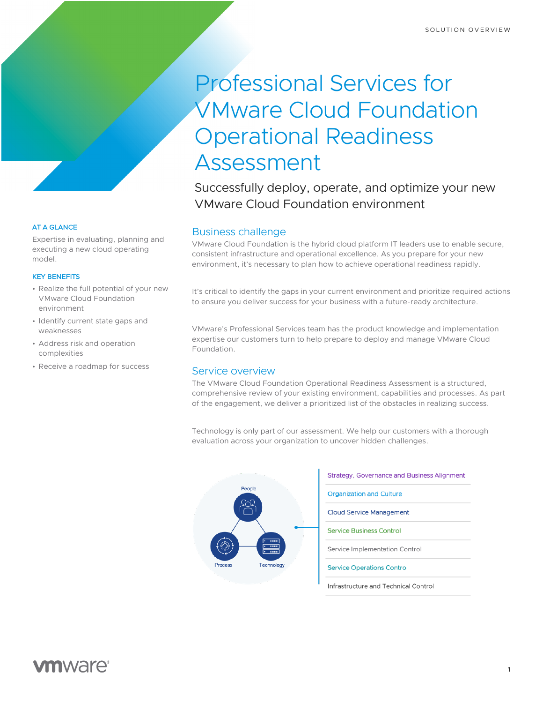# Professional Services for VMware Cloud Foundation Operational Readiness Assessment

Successfully deploy, operate, and optimize your new VMware Cloud Foundation environment

# Business challenge

VMware Cloud Foundation is the hybrid cloud platform IT leaders use to enable secure, consistent infrastructure and operational excellence. As you prepare for your new environment, it's necessary to plan how to achieve operational readiness rapidly.

It's critical to identify the gaps in your current environment and prioritize required actions to ensure you deliver success for your business with a future-ready architecture.

VMware's Professional Services team has the product knowledge and implementation expertise our customers turn to help prepare to deploy and manage VMware Cloud Foundation.

# Service overview

The VMware Cloud Foundation Operational Readiness Assessment is a structured, comprehensive review of your existing environment, capabilities and processes. As part of the engagement, we deliver a prioritized list of the obstacles in realizing success.

Technology is only part of our assessment. We help our customers with a thorough evaluation across your organization to uncover hidden challenges.



## AT A GLANCE

Expertise in evaluating, planning and executing a new cloud operating model.

### KEY BENEFITS

- Realize the full potential of your new VMware Cloud Foundation environment
- Identify current state gaps and weaknesses
- Address risk and operation complexities
- Receive a roadmap for success